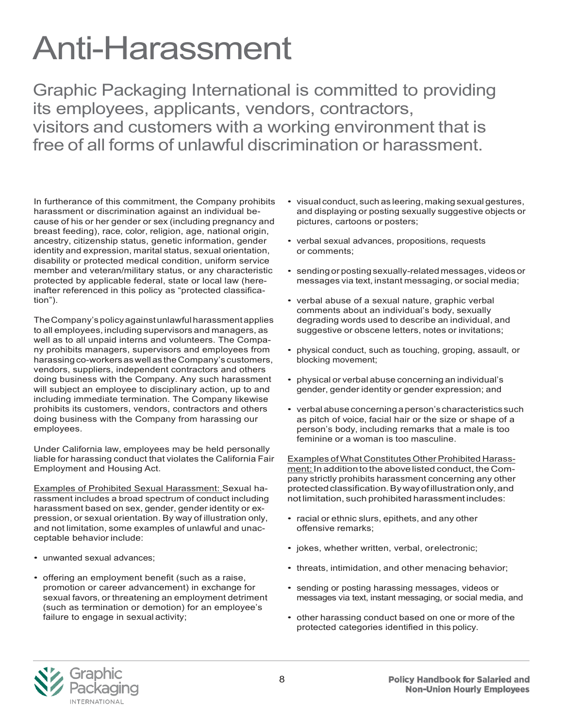## Anti-Harassment

Graphic Packaging International is committed to providing its employees, applicants, vendors, contractors, visitors and customers with a working environment that is free of all forms of unlawful discrimination or harassment.

In furtherance of this commitment, the Company prohibits harassment or discrimination against an individual because of his or her gender or sex (including pregnancy and breast feeding), race, color, religion, age, national origin, ancestry, citizenship status, genetic information, gender identity and expression, marital status, sexual orientation, disability or protected medical condition, uniform service member and veteran/military status, or any characteristic protected by applicable federal, state or local law (hereinafter referenced in this policy as "protected classification").

TheCompany'spolicyagainstunlawfulharassmentapplies to all employees, including supervisors and managers, as well as to all unpaid interns and volunteers. The Company prohibits managers, supervisors and employees from harassingco-workersaswellas theCompany's customers, vendors, suppliers, independent contractors and others doing business with the Company. Any such harassment will subject an employee to disciplinary action, up to and including immediate termination. The Company likewise prohibits its customers, vendors, contractors and others doing business with the Company from harassing our employees.

Under California law, employees may be held personally liable for harassing conduct that violates the California Fair Employment and Housing Act.

Examples of Prohibited Sexual Harassment: Sexual harassment includes a broad spectrum of conduct including harassment based on sex, gender, gender identity or expression, or sexual orientation. By way of illustration only, and not limitation, some examples of unlawful and unacceptable behavior include:

- unwanted sexual advances;
- offering an employment benefit (such as a raise, promotion or career advancement) in exchange for sexual favors, or threatening an employment detriment (such as termination or demotion) for an employee's failure to engage in sexual activity;
- visual conduct, such as leering, making sexual gestures, and displaying or posting sexually suggestive objects or pictures, cartoons or posters;
- verbal sexual advances, propositions, requests or comments;
- sending or posting sexually-related messages, videos or messages via text, instant messaging, or social media;
- verbal abuse of a sexual nature, graphic verbal comments about an individual's body, sexually degrading words used to describe an individual, and suggestive or obscene letters, notes or invitations;
- physical conduct, such as touching, groping, assault, or blocking movement;
- physical or verbal abuse concerning an individual's gender, gender identity or gender expression; and
- verbalabuseconcerning aperson's characteristics such as pitch of voice, facial hair or the size or shape of a person's body, including remarks that a male is too feminine or a woman is too masculine.

Examples of What Constitutes Other Prohibited Harassment: In additionto the abovelisted conduct, the Company strictly prohibits harassment concerning any other protected classification. By way of illustration only, and not limitation, such prohibited harassmentincludes:

- racial or ethnic slurs, epithets, and any other offensive remarks;
- jokes, whether written, verbal, orelectronic;
- threats, intimidation, and other menacing behavior;
- sending or posting harassing messages, videos or messages via text, instant messaging, or social media, and
- other harassing conduct based on one or more of the protected categories identified in this policy.